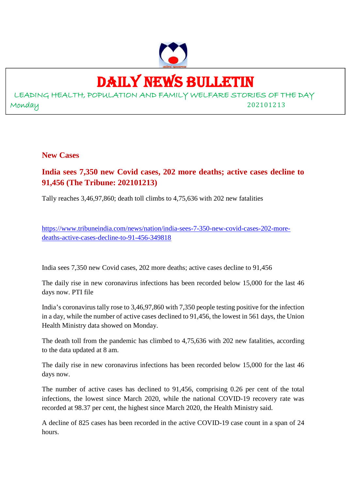

# DAILY NEWS BULLETIN

LEADING HEALTH, POPULATION AND FAMILY WELFARE STORIES OF THE DAY Monday 202101213

**New Cases**

**India sees 7,350 new Covid cases, 202 more deaths; active cases decline to 91,456 (The Tribune: 202101213)**

Tally reaches 3,46,97,860; death toll climbs to 4,75,636 with 202 new fatalities

https://www.tribuneindia.com/news/nation/india-sees-7-350-new-covid-cases-202-moredeaths-active-cases-decline-to-91-456-349818

India sees 7,350 new Covid cases, 202 more deaths; active cases decline to 91,456

The daily rise in new coronavirus infections has been recorded below 15,000 for the last 46 days now. PTI file

India's coronavirus tally rose to 3,46,97,860 with 7,350 people testing positive for the infection in a day, while the number of active cases declined to 91,456, the lowest in 561 days, the Union Health Ministry data showed on Monday.

The death toll from the pandemic has climbed to 4,75,636 with 202 new fatalities, according to the data updated at 8 am.

The daily rise in new coronavirus infections has been recorded below 15,000 for the last 46 days now.

The number of active cases has declined to 91,456, comprising 0.26 per cent of the total infections, the lowest since March 2020, while the national COVID-19 recovery rate was recorded at 98.37 per cent, the highest since March 2020, the Health Ministry said.

A decline of 825 cases has been recorded in the active COVID-19 case count in a span of 24 hours.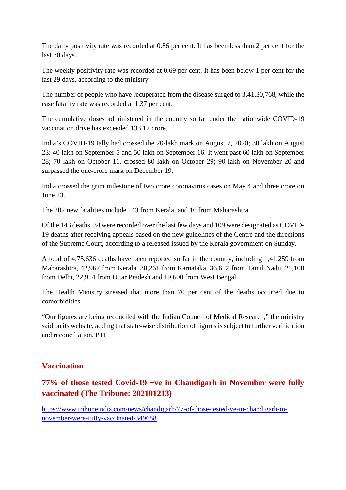The daily positivity rate was recorded at 0.86 per cent. It has been less than 2 per cent for the last 70 days.

The weekly positivity rate was recorded at 0.69 per cent. It has been below 1 per cent for the last 29 days, according to the ministry.

The number of people who have recuperated from the disease surged to 3,41,30,768, while the case fatality rate was recorded at 1.37 per cent.

The cumulative doses administered in the country so far under the nationwide COVID-19 vaccination drive has exceeded 133.17 crore.

India's COVID-19 tally had crossed the 20-lakh mark on August 7, 2020; 30 lakh on August 23; 40 lakh on September 5 and 50 lakh on September 16. It went past 60 lakh on September 28; 70 lakh on October 11, crossed 80 lakh on October 29; 90 lakh on November 20 and surpassed the one-crore mark on December 19.

India crossed the grim milestone of two crore coronavirus cases on May 4 and three crore on June 23.

The 202 new fatalities include 143 from Kerala, and 16 from Maharashtra.

Of the 143 deaths, 34 were recorded over the last few days and 109 were designated as COVID-19 deaths after receiving appeals based on the new guidelines of the Centre and the directions of the Supreme Court, according to a released issued by the Kerala government on Sunday.

A total of 4,75,636 deaths have been reported so far in the country, including 1,41,259 from Maharashtra, 42,967 from Kerala, 38,261 from Karnataka, 36,612 from Tamil Nadu, 25,100 from Delhi, 22,914 from Uttar Pradesh and 19,600 from West Bengal.

The Health Ministry stressed that more than 70 per cent of the deaths occurred due to comorbidities.

"Our figures are being reconciled with the Indian Council of Medical Research," the ministry said on its website, adding that state-wise distribution of figures is subject to further verification and reconciliation. PTI

# **Vaccination**

# **77% of those tested Covid-19 +ve in Chandigarh in November were fully vaccinated (The Tribune: 202101213)**

https://www.tribuneindia.com/news/chandigarh/77-of-those-tested-ve-in-chandigarh-innovember-were-fully-vaccinated-349688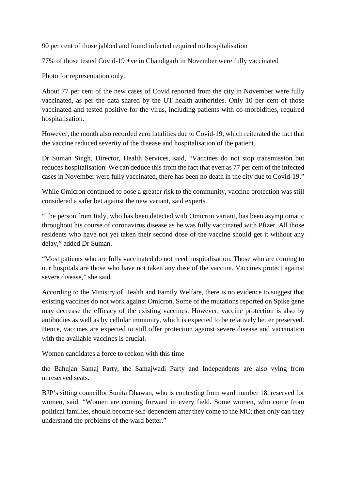90 per cent of those jabbed and found infected required no hospitalisation

77% of those tested Covid-19 +ve in Chandigarh in November were fully vaccinated

Photo for representation only.

About 77 per cent of the new cases of Covid reported from the city in November were fully vaccinated, as per the data shared by the UT health authorities. Only 10 per cent of those vaccinated and tested positive for the virus, including patients with co-morbidities, required hospitalisation.

However, the month also recorded zero fatalities due to Covid-19, which reiterated the fact that the vaccine reduced severity of the disease and hospitalisation of the patient.

Dr Suman Singh, Director, Health Services, said, "Vaccines do not stop transmission but reduces hospitalisation. We can deduce this from the fact that even as 77 per cent of the infected cases in November were fully vaccinated, there has been no death in the city due to Covid-19."

While Omicron continued to pose a greater risk to the community, vaccine protection was still considered a safer bet against the new variant, said experts.

"The person from Italy, who has been detected with Omicron variant, has been asymptomatic throughout his course of coronavirus disease as he was fully vaccinated with Pfizer. All those residents who have not yet taken their second dose of the vaccine should get it without any delay," added Dr Suman.

"Most patients who are fully vaccinated do not need hospitalisation. Those who are coming to our hospitals are those who have not taken any dose of the vaccine. Vaccines protect against severe disease," she said.

According to the Ministry of Health and Family Welfare, there is no evidence to suggest that existing vaccines do not work against Omicron. Some of the mutations reported on Spike gene may decrease the efficacy of the existing vaccines. However, vaccine protection is also by antibodies as well as by cellular immunity, which is expected to be relatively better preserved. Hence, vaccines are expected to still offer protection against severe disease and vaccination with the available vaccines is crucial.

Women candidates a force to reckon with this time

the Bahujan Samaj Party, the Samajwadi Party and Independents are also vying from unreserved seats.

BJP's sitting councillor Sunita Dhawan, who is contesting from ward number 18, reserved for women, said, "Women are coming forward in every field. Some women, who come from political families, should become self-dependent after they come to the MC; then only can they understand the problems of the ward better."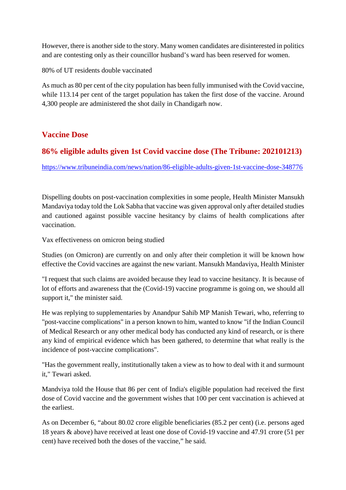However, there is another side to the story. Many women candidates are disinterested in politics and are contesting only as their councillor husband's ward has been reserved for women.

80% of UT residents double vaccinated

As much as 80 per cent of the city population has been fully immunised with the Covid vaccine, while 113.14 per cent of the target population has taken the first dose of the vaccine. Around 4,300 people are administered the shot daily in Chandigarh now.

# **Vaccine Dose**

# **86% eligible adults given 1st Covid vaccine dose (The Tribune: 202101213)**

https://www.tribuneindia.com/news/nation/86-eligible-adults-given-1st-vaccine-dose-348776

Dispelling doubts on post-vaccination complexities in some people, Health Minister Mansukh Mandaviya today told the Lok Sabha that vaccine was given approval only after detailed studies and cautioned against possible vaccine hesitancy by claims of health complications after vaccination.

Vax effectiveness on omicron being studied

Studies (on Omicron) are currently on and only after their completion it will be known how effective the Covid vaccines are against the new variant. Mansukh Mandaviya, Health Minister

"I request that such claims are avoided because they lead to vaccine hesitancy. It is because of lot of efforts and awareness that the (Covid-19) vaccine programme is going on, we should all support it," the minister said.

He was replying to supplementaries by Anandpur Sahib MP Manish Tewari, who, referring to "post-vaccine complications" in a person known to him, wanted to know "if the Indian Council of Medical Research or any other medical body has conducted any kind of research, or is there any kind of empirical evidence which has been gathered, to determine that what really is the incidence of post-vaccine complications".

"Has the government really, institutionally taken a view as to how to deal with it and surmount it," Tewari asked.

Mandviya told the House that 86 per cent of India's eligible population had received the first dose of Covid vaccine and the government wishes that 100 per cent vaccination is achieved at the earliest.

As on December 6, "about 80.02 crore eligible beneficiaries (85.2 per cent) (i.e. persons aged 18 years & above) have received at least one dose of Covid-19 vaccine and 47.91 crore (51 per cent) have received both the doses of the vaccine," he said.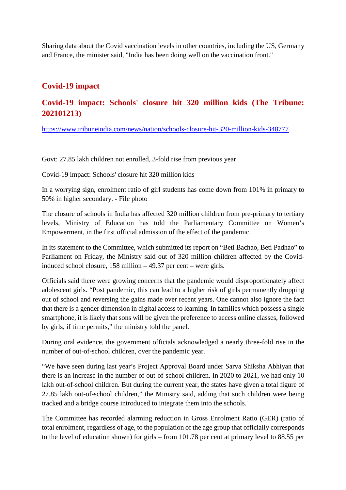Sharing data about the Covid vaccination levels in other countries, including the US, Germany and France, the minister said, "India has been doing well on the vaccination front."

# **Covid-19 impact**

# **Covid-19 impact: Schools' closure hit 320 million kids (The Tribune: 202101213)**

https://www.tribuneindia.com/news/nation/schools-closure-hit-320-million-kids-348777

Govt: 27.85 lakh children not enrolled, 3-fold rise from previous year

Covid-19 impact: Schools' closure hit 320 million kids

In a worrying sign, enrolment ratio of girl students has come down from 101% in primary to 50% in higher secondary. - File photo

The closure of schools in India has affected 320 million children from pre-primary to tertiary levels, Ministry of Education has told the Parliamentary Committee on Women's Empowerment, in the first official admission of the effect of the pandemic.

In its statement to the Committee, which submitted its report on "Beti Bachao, Beti Padhao" to Parliament on Friday, the Ministry said out of 320 million children affected by the Covidinduced school closure, 158 million – 49.37 per cent – were girls.

Officials said there were growing concerns that the pandemic would disproportionately affect adolescent girls. "Post pandemic, this can lead to a higher risk of girls permanently dropping out of school and reversing the gains made over recent years. One cannot also ignore the fact that there is a gender dimension in digital access to learning. In families which possess a single smartphone, it is likely that sons will be given the preference to access online classes, followed by girls, if time permits," the ministry told the panel.

During oral evidence, the government officials acknowledged a nearly three-fold rise in the number of out-of-school children, over the pandemic year.

"We have seen during last year's Project Approval Board under Sarva Shiksha Abhiyan that there is an increase in the number of out-of-school children. In 2020 to 2021, we had only 10 lakh out-of-school children. But during the current year, the states have given a total figure of 27.85 lakh out-of-school children," the Ministry said, adding that such children were being tracked and a bridge course introduced to integrate them into the schools.

The Committee has recorded alarming reduction in Gross Enrolment Ratio (GER) (ratio of total enrolment, regardless of age, to the population of the age group that officially corresponds to the level of education shown) for girls – from 101.78 per cent at primary level to 88.55 per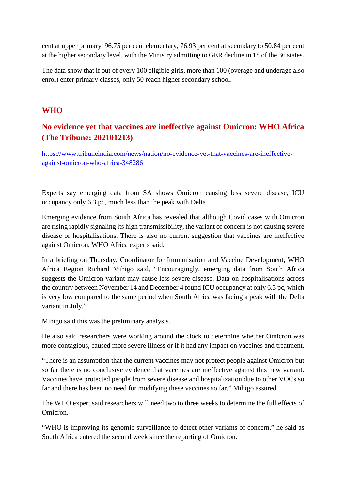cent at upper primary, 96.75 per cent elementary, 76.93 per cent at secondary to 50.84 per cent at the higher secondary level, with the Ministry admitting to GER decline in 18 of the 36 states.

The data show that if out of every 100 eligible girls, more than 100 (overage and underage also enrol) enter primary classes, only 50 reach higher secondary school.

### **WHO**

# **No evidence yet that vaccines are ineffective against Omicron: WHO Africa (The Tribune: 202101213)**

https://www.tribuneindia.com/news/nation/no-evidence-yet-that-vaccines-are-ineffectiveagainst-omicron-who-africa-348286

Experts say emerging data from SA shows Omicron causing less severe disease, ICU occupancy only 6.3 pc, much less than the peak with Delta

Emerging evidence from South Africa has revealed that although Covid cases with Omicron are rising rapidly signaling its high transmissibility, the variant of concern is not causing severe disease or hospitalisations. There is also no current suggestion that vaccines are ineffective against Omicron, WHO Africa experts said.

In a briefing on Thursday, Coordinator for Immunisation and Vaccine Development, WHO Africa Region Richard Mihigo said, "Encouragingly, emerging data from South Africa suggests the Omicron variant may cause less severe disease. Data on hospitalisations across the country between November 14 and December 4 found ICU occupancy at only 6.3 pc, which is very low compared to the same period when South Africa was facing a peak with the Delta variant in July."

Mihigo said this was the preliminary analysis.

He also said researchers were working around the clock to determine whether Omicron was more contagious, caused more severe illness or if it had any impact on vaccines and treatment.

"There is an assumption that the current vaccines may not protect people against Omicron but so far there is no conclusive evidence that vaccines are ineffective against this new variant. Vaccines have protected people from severe disease and hospitalization due to other VOCs so far and there has been no need for modifying these vaccines so far," Mihigo assured.

The WHO expert said researchers will need two to three weeks to determine the full effects of Omicron.

"WHO is improving its genomic surveillance to detect other variants of concern," he said as South Africa entered the second week since the reporting of Omicron.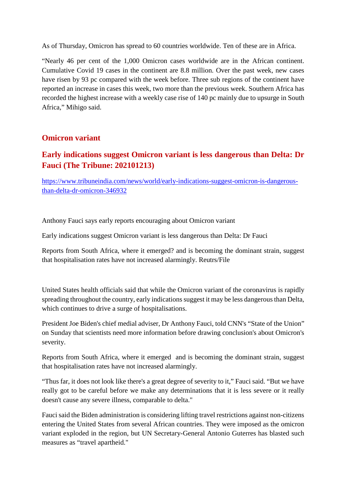As of Thursday, Omicron has spread to 60 countries worldwide. Ten of these are in Africa.

"Nearly 46 per cent of the 1,000 Omicron cases worldwide are in the African continent. Cumulative Covid 19 cases in the continent are 8.8 million. Over the past week, new cases have risen by 93 pc compared with the week before. Three sub regions of the continent have reported an increase in cases this week, two more than the previous week. Southern Africa has recorded the highest increase with a weekly case rise of 140 pc mainly due to upsurge in South Africa," Mihigo said.

### **Omicron variant**

# **Early indications suggest Omicron variant is less dangerous than Delta: Dr Fauci (The Tribune: 202101213)**

https://www.tribuneindia.com/news/world/early-indications-suggest-omicron-is-dangerousthan-delta-dr-omicron-346932

Anthony Fauci says early reports encouraging about Omicron variant

Early indications suggest Omicron variant is less dangerous than Delta: Dr Fauci

Reports from South Africa, where it emerged? and is becoming the dominant strain, suggest that hospitalisation rates have not increased alarmingly. Reutrs/File

United States health officials said that while the Omicron variant of the coronavirus is rapidly spreading throughout the country, early indications suggest it may be less dangerous than Delta, which continues to drive a surge of hospitalisations.

President Joe Biden's chief medial adviser, Dr Anthony Fauci, told CNN's "State of the Union" on Sunday that scientists need more information before drawing conclusion's about Omicron's severity.

Reports from South Africa, where it emerged and is becoming the dominant strain, suggest that hospitalisation rates have not increased alarmingly.

"Thus far, it does not look like there's a great degree of severity to it," Fauci said. "But we have really got to be careful before we make any determinations that it is less severe or it really doesn't cause any severe illness, comparable to delta."

Fauci said the Biden administration is considering lifting travel restrictions against non-citizens entering the United States from several African countries. They were imposed as the omicron variant exploded in the region, but UN Secretary-General Antonio Guterres has blasted such measures as "travel apartheid."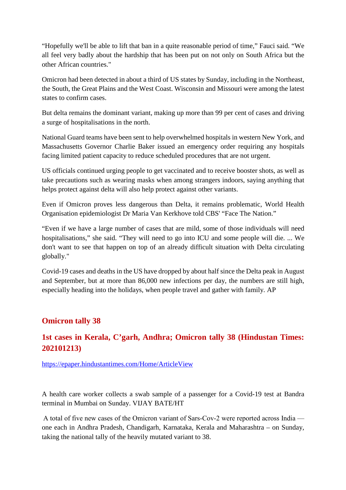"Hopefully we'll be able to lift that ban in a quite reasonable period of time," Fauci said. "We all feel very badly about the hardship that has been put on not only on South Africa but the other African countries."

Omicron had been detected in about a third of US states by Sunday, including in the Northeast, the South, the Great Plains and the West Coast. Wisconsin and Missouri were among the latest states to confirm cases.

But delta remains the dominant variant, making up more than 99 per cent of cases and driving a surge of hospitalisations in the north.

National Guard teams have been sent to help overwhelmed hospitals in western New York, and Massachusetts Governor Charlie Baker issued an emergency order requiring any hospitals facing limited patient capacity to reduce scheduled procedures that are not urgent.

US officials continued urging people to get vaccinated and to receive booster shots, as well as take precautions such as wearing masks when among strangers indoors, saying anything that helps protect against delta will also help protect against other variants.

Even if Omicron proves less dangerous than Delta, it remains problematic, World Health Organisation epidemiologist Dr Maria Van Kerkhove told CBS' "Face The Nation."

"Even if we have a large number of cases that are mild, some of those individuals will need hospitalisations," she said. "They will need to go into ICU and some people will die. ... We don't want to see that happen on top of an already difficult situation with Delta circulating globally."

Covid-19 cases and deaths in the US have dropped by about half since the Delta peak in August and September, but at more than 86,000 new infections per day, the numbers are still high, especially heading into the holidays, when people travel and gather with family. AP

# **Omicron tally 38**

# **1st cases in Kerala, C'garh, Andhra; Omicron tally 38 (Hindustan Times: 202101213)**

https://epaper.hindustantimes.com/Home/ArticleView

A health care worker collects a swab sample of a passenger for a Covid-19 test at Bandra terminal in Mumbai on Sunday. VIJAY BATE/HT

A total of five new cases of the Omicron variant of Sars-Cov-2 were reported across India one each in Andhra Pradesh, Chandigarh, Karnataka, Kerala and Maharashtra – on Sunday, taking the national tally of the heavily mutated variant to 38.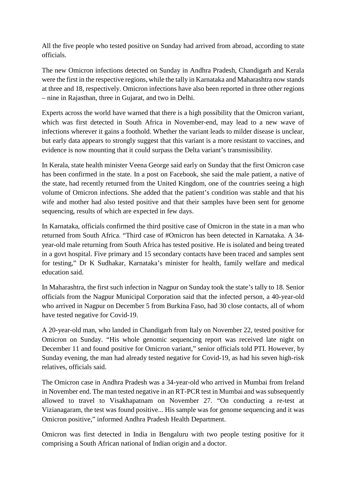All the five people who tested positive on Sunday had arrived from abroad, according to state officials.

The new Omicron infections detected on Sunday in Andhra Pradesh, Chandigarh and Kerala were the first in the respective regions, while the tally in Karnataka and Maharashtra now stands at three and 18, respectively. Omicron infections have also been reported in three other regions – nine in Rajasthan, three in Gujarat, and two in Delhi.

Experts across the world have warned that there is a high possibility that the Omicron variant, which was first detected in South Africa in November-end, may lead to a new wave of infections wherever it gains a foothold. Whether the variant leads to milder disease is unclear, but early data appears to strongly suggest that this variant is a more resistant to vaccines, and evidence is now mounting that it could surpass the Delta variant's transmissibility.

In Kerala, state health minister Veena George said early on Sunday that the first Omicron case has been confirmed in the state. In a post on Facebook, she said the male patient, a native of the state, had recently returned from the United Kingdom, one of the countries seeing a high volume of Omicron infections. She added that the patient's condition was stable and that his wife and mother had also tested positive and that their samples have been sent for genome sequencing, results of which are expected in few days.

In Karnataka, officials confirmed the third positive case of Omicron in the state in a man who returned from South Africa. "Third case of #Omicron has been detected in Karnataka. A 34 year-old male returning from South Africa has tested positive. He is isolated and being treated in a govt hospital. Five primary and 15 secondary contacts have been traced and samples sent for testing," Dr K Sudhakar, Karnataka's minister for health, family welfare and medical education said.

In Maharashtra, the first such infection in Nagpur on Sunday took the state's tally to 18. Senior officials from the Nagpur Municipal Corporation said that the infected person, a 40-year-old who arrived in Nagpur on December 5 from Burkina Faso, had 30 close contacts, all of whom have tested negative for Covid-19.

A 20-year-old man, who landed in Chandigarh from Italy on November 22, tested positive for Omicron on Sunday. "His whole genomic sequencing report was received late night on December 11 and found positive for Omicron variant," senior officials told PTI. However, by Sunday evening, the man had already tested negative for Covid-19, as had his seven high-risk relatives, officials said.

The Omicron case in Andhra Pradesh was a 34-year-old who arrived in Mumbai from Ireland in November end. The man tested negative in an RT-PCR test in Mumbai and was subsequently allowed to travel to Visakhapatnam on November 27. "On conducting a re-test at Vizianagaram, the test was found positive... His sample was for genome sequencing and it was Omicron positive," informed Andhra Pradesh Health Department.

Omicron was first detected in India in Bengaluru with two people testing positive for it comprising a South African national of Indian origin and a doctor.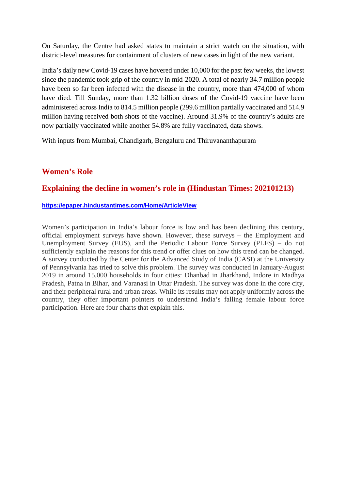On Saturday, the Centre had asked states to maintain a strict watch on the situation, with district-level measures for containment of clusters of new cases in light of the new variant.

India's daily new Covid-19 cases have hovered under 10,000 for the past few weeks, the lowest since the pandemic took grip of the country in mid-2020. A total of nearly 34.7 million people have been so far been infected with the disease in the country, more than 474,000 of whom have died. Till Sunday, more than 1.32 billion doses of the Covid-19 vaccine have been administered across India to 814.5 million people (299.6 million partially vaccinated and 514.9 million having received both shots of the vaccine). Around 31.9% of the country's adults are now partially vaccinated while another 54.8% are fully vaccinated, data shows.

With inputs from Mumbai, Chandigarh, Bengaluru and Thiruvananthapuram

# **Women's Role**

# **Explaining the decline in women's role in (Hindustan Times: 202101213)**

#### **https://epaper.hindustantimes.com/Home/ArticleView**

Women's participation in India's labour force is low and has been declining this century, official employment surveys have shown. However, these surveys – the Employment and Unemployment Survey (EUS), and the Periodic Labour Force Survey (PLFS) – do not sufficiently explain the reasons for this trend or offer clues on how this trend can be changed. A survey conducted by the Center for the Advanced Study of India (CASI) at the University of Pennsylvania has tried to solve this problem. The survey was conducted in January-August 2019 in around 15,000 households in four cities: Dhanbad in Jharkhand, Indore in Madhya Pradesh, Patna in Bihar, and Varanasi in Uttar Pradesh. The survey was done in the core city, and their peripheral rural and urban areas. While its results may not apply uniformly across the country, they offer important pointers to understand India's falling female labour force participation. Here are four charts that explain this.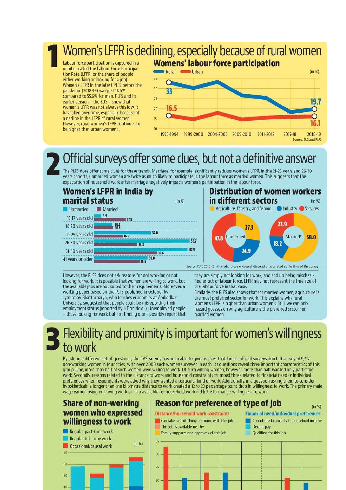# Women's LFPR is declining, especially because of rural women

Labour force participation is captured in a number called the Labour Force Participation Rate (LFPR, or the share of people) either working or looking for a job). Women's LFPR in the latest PLFS before the pandemic (2018-19) was just 18.6% compared to 55.6% for men. PLFS and its earlier version - the EUS - show that women's LFPR was not always this low. It has fallen over time, especially because of a decline in the LFPR of rural women. However, rural women's LFPR continues to be higher than urban women's.



# Official surveys offer some clues, but not a definitive answer

The PLFS does offer some clues for these trends. Marriage, for example, significantly reduces women's LFPR. In the 21-25 years and 26-30 years cohorts, unmarried women are twice as much likely to participate in the labour force as married women. This suggests that the expectation of household work after marriage negatively impacts women's participation in the labour force.

 $(in %)$ 





**Distribution of women workers** in different sectors  $(in %)$ Agriculture, forestry, and fishing Industry Services 23.9 27.3 47.8 Unmarried Married<sup>#</sup> 58.0 18.2 24.9 Source: PLFS 2018-19 #includes those widowed, divorced or separated at the time of the survey

However, the PLFS does not ask reasons for not working or not looking for work. It is possible that women are willing to work, but the available jobs are not suited to their requirements. Moreover, a working paper based on the PLFS published in October by Jyotirmoy Bhattacharya, who teaches economics at Ambedkar University, suggested that people could be misreporting their employment status (reported by HT on Nov 1). Unemployed people - those looking for work but not finding one - possibly report that they are simply not looking for work, and end up being misclassified as out of labour force. LFPR may not represent the true size of the labour force in that case.

Similarly, the PLFS also shows that for married women, agriculture is the most preferred sector for work. This explains why rural women's LFPR is higher than urban women's. Still, we can only hazard guesses on why agriculture is the preferred sector for married women

# $\blacktriangleright$  Flexibility and proximity is important for women's willingness to work

By asking a different set of questions, the CASI survey has been able to give us clues that India's official surveys don't. It surveyed 9,777 non-working women in four cities, with over 2,000 such women surveyed in each. Its questions reveal three important characteristics of this group. One, more than half of such women were willing to work. Of such willing women, however, more than half wanted only part-time work. Secondly, reasons related to the distance to work and household constraints trumped those related to financial need or individual preferences when respondents were asked why they wanted a particular kind of work. Additionally, in a question asking them to consider hypotheticals, a longer than one kilometre distance to work created a 12 to 23 percentage point drop in willingness to work. The primary male wage earner losing or leaving work or help available for household work did little to change willingness to work.

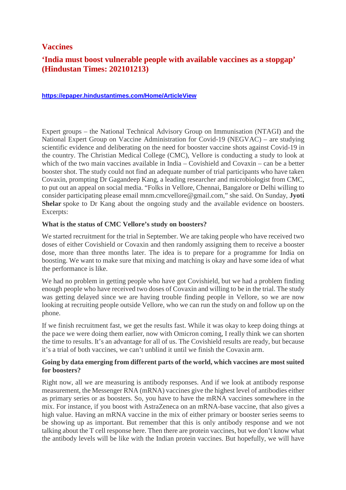### **Vaccines**

# **'India must boost vulnerable people with available vaccines as a stopgap' (Hindustan Times: 202101213)**

**https://epaper.hindustantimes.com/Home/ArticleView**

Expert groups – the National Technical Advisory Group on Immunisation (NTAGI) and the National Expert Group on Vaccine Administration for Covid-19 (NEGVAC) – are studying scientific evidence and deliberating on the need for booster vaccine shots against Covid-19 in the country. The Christian Medical College (CMC), Vellore is conducting a study to look at which of the two main vaccines available in India – Covishield and Covaxin – can be a better booster shot. The study could not find an adequate number of trial participants who have taken Covaxin, prompting Dr Gagandeep Kang, a leading researcher and microbiologist from CMC, to put out an appeal on social media. "Folks in Vellore, Chennai, Bangalore or Delhi willing to consider participating please email mnm.cmcvellore@gmail.com," she said. On Sunday, **Jyoti Shelar** spoke to Dr Kang about the ongoing study and the available evidence on boosters. Excerpts:

#### **What is the status of CMC Vellore's study on boosters?**

We started recruitment for the trial in September. We are taking people who have received two doses of either Covishield or Covaxin and then randomly assigning them to receive a booster dose, more than three months later. The idea is to prepare for a programme for India on boosting. We want to make sure that mixing and matching is okay and have some idea of what the performance is like.

We had no problem in getting people who have got Covishield, but we had a problem finding enough people who have received two doses of Covaxin and willing to be in the trial. The study was getting delayed since we are having trouble finding people in Vellore, so we are now looking at recruiting people outside Vellore, who we can run the study on and follow up on the phone.

If we finish recruitment fast, we get the results fast. While it was okay to keep doing things at the pace we were doing them earlier, now with Omicron coming, I really think we can shorten the time to results. It's an advantage for all of us. The Covishield results are ready, but because it's a trial of both vaccines, we can't unblind it until we finish the Covaxin arm.

#### **Going by data emerging from different parts of the world, which vaccines are most suited for boosters?**

Right now, all we are measuring is antibody responses. And if we look at antibody response measurement, the Messenger RNA (mRNA) vaccines give the highest level of antibodies either as primary series or as boosters. So, you have to have the mRNA vaccines somewhere in the mix. For instance, if you boost with AstraZeneca on an mRNA-base vaccine, that also gives a high value. Having an mRNA vaccine in the mix of either primary or booster series seems to be showing up as important. But remember that this is only antibody response and we not talking about the T cell response here. Then there are protein vaccines, but we don't know what the antibody levels will be like with the Indian protein vaccines. But hopefully, we will have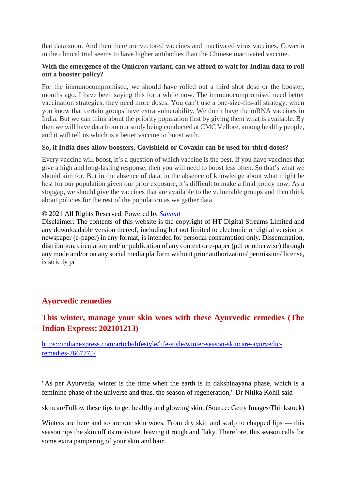that data soon. And then there are vectored vaccines and inactivated virus vaccines. Covaxin in the clinical trial seems to have higher antibodies than the Chinese inactivated vaccine.

#### **With the emergence of the Omicron variant, can we afford to wait for Indian data to roll out a booster policy?**

For the immunocompromised, we should have rolled out a third shot dose or the booster, months ago. I have been saying this for a while now. The immunocompromised need better vaccination strategies, they need more doses. You can't use a one-size-fits-all strategy, when you know that certain groups have extra vulnerability. We don't have the mRNA vaccines in India. But we can think about the priority population first by giving them what is available. By then we will have data from our study being conducted at CMC Vellore, among healthy people, and it will tell us which is a better vaccine to boost with.

#### **So, if India does allow boosters, Covishield or Covaxin can be used for third doses?**

Every vaccine will boost, it's a question of which vaccine is the best. If you have vaccines that give a high and long-lasting response, then you will need to boost less often. So that's what we should aim for. But in the absence of data, in the absence of knowledge about what might be best for our population given our prior exposure, it's difficult to make a final policy now. As a stopgap, we should give the vaccines that are available to the vulnerable groups and then think about policies for the rest of the population as we gather data.

#### © 2021 All Rights Reserved. Powered by *Summit*

Disclaimer: The contents of this website is the copyright of HT Digital Streams Limited and any downloadable version thereof, including but not limited to electronic or digital version of newspaper (e-paper) in any format, is intended for personal consumption only. Dissemination, distribution, circulation and/ or publication of any content or e-paper (pdf or otherwise) through any mode and/or on any social media platform without prior authorization/ permission/ license, is strictly pr

# **Ayurvedic remedies**

# **This winter, manage your skin woes with these Ayurvedic remedies (The Indian Express: 202101213)**

https://indianexpress.com/article/lifestyle/life-style/winter-season-skincare-ayurvedicremedies-7667775/

"As per Ayurveda, winter is the time when the earth is in dakshinayana phase, which is a feminine phase of the universe and thus, the season of regeneration," Dr Nitika Kohli said

skincareFollow these tips to get healthy and glowing skin. (Source: Getty Images/Thinkstock)

Winters are here and so are our skin woes. From dry skin and scalp to chapped lips — this season rips the skin off its moisture, leaving it rough and flaky. Therefore, this season calls for some extra pampering of your skin and hair.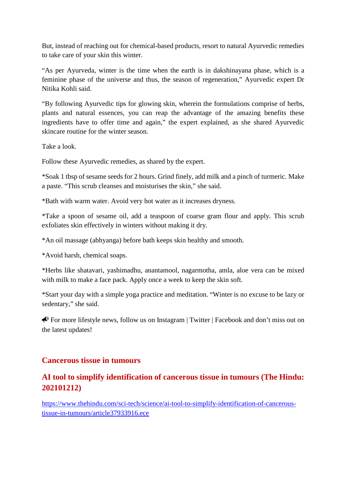But, instead of reaching out for chemical-based products, resort to natural Ayurvedic remedies to take care of your skin this winter.

"As per Ayurveda, winter is the time when the earth is in dakshinayana phase, which is a feminine phase of the universe and thus, the season of regeneration," Ayurvedic expert Dr Nitika Kohli said.

"By following Ayurvedic tips for glowing skin, wherein the formulations comprise of herbs, plants and natural essences, you can reap the advantage of the amazing benefits these ingredients have to offer time and again," the expert explained, as she shared Ayurvedic skincare routine for the winter season.

Take a look.

Follow these Ayurvedic remedies, as shared by the expert.

\*Soak 1 tbsp of sesame seeds for 2 hours. Grind finely, add milk and a pinch of turmeric. Make a paste. "This scrub cleanses and moisturises the skin," she said.

\*Bath with warm water. Avoid very hot water as it increases dryness.

\*Take a spoon of sesame oil, add a teaspoon of coarse gram flour and apply. This scrub exfoliates skin effectively in winters without making it dry.

\*An oil massage (abhyanga) before bath keeps skin healthy and smooth.

\*Avoid harsh, chemical soaps.

\*Herbs like shatavari, yashimadhu, anantamool, nagarmotha, amla, aloe vera can be mixed with milk to make a face pack. Apply once a week to keep the skin soft.

\*Start your day with a simple yoga practice and meditation. "Winter is no excuse to be lazy or sedentary," she said.

 $\bigotimes$  For more lifestyle news, follow us on Instagram | Twitter | Facebook and don't miss out on the latest updates!

### **Cancerous tissue in tumours**

# **AI tool to simplify identification of cancerous tissue in tumours (The Hindu: 202101212)**

https://www.thehindu.com/sci-tech/science/ai-tool-to-simplify-identification-of-canceroustissue-in-tumours/article37933916.ece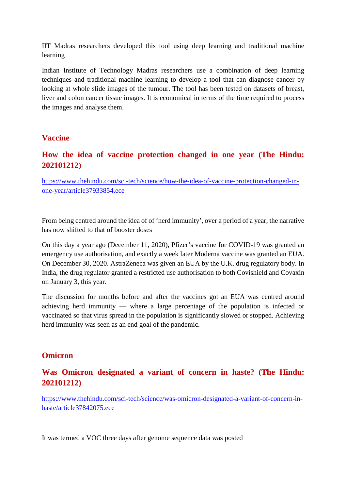IIT Madras researchers developed this tool using deep learning and traditional machine learning

Indian Institute of Technology Madras researchers use a combination of deep learning techniques and traditional machine learning to develop a tool that can diagnose cancer by looking at whole slide images of the tumour. The tool has been tested on datasets of breast, liver and colon cancer tissue images. It is economical in terms of the time required to process the images and analyse them.

# **Vaccine**

# **How the idea of vaccine protection changed in one year (The Hindu: 202101212)**

https://www.thehindu.com/sci-tech/science/how-the-idea-of-vaccine-protection-changed-inone-year/article37933854.ece

From being centred around the idea of of 'herd immunity', over a period of a year, the narrative has now shifted to that of booster doses

On this day a year ago (December 11, 2020), Pfizer's vaccine for COVID-19 was granted an emergency use authorisation, and exactly a week later Moderna vaccine was granted an EUA. On December 30, 2020. AstraZeneca was given an EUA by the U.K. drug regulatory body. In India, the drug regulator granted a restricted use authorisation to both Covishield and Covaxin on January 3, this year.

The discussion for months before and after the vaccines got an EUA was centred around achieving herd immunity — where a large percentage of the population is infected or vaccinated so that virus spread in the population is significantly slowed or stopped. Achieving herd immunity was seen as an end goal of the pandemic.

# **Omicron**

# **Was Omicron designated a variant of concern in haste? (The Hindu: 202101212)**

https://www.thehindu.com/sci-tech/science/was-omicron-designated-a-variant-of-concern-inhaste/article37842075.ece

It was termed a VOC three days after genome sequence data was posted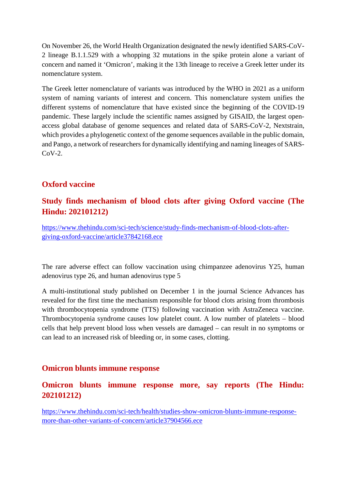On November 26, the World Health Organization designated the newly identified SARS-CoV-2 lineage B.1.1.529 with a whopping 32 mutations in the spike protein alone a variant of concern and named it 'Omicron', making it the 13th lineage to receive a Greek letter under its nomenclature system.

The Greek letter nomenclature of variants was introduced by the WHO in 2021 as a uniform system of naming variants of interest and concern. This nomenclature system unifies the different systems of nomenclature that have existed since the beginning of the COVID-19 pandemic. These largely include the scientific names assigned by GISAID, the largest openaccess global database of genome sequences and related data of SARS-CoV-2, Nextstrain, which provides a phylogenetic context of the genome sequences available in the public domain, and Pango, a network of researchers for dynamically identifying and naming lineages of SARS- $CoV-2$ .

# **Oxford vaccine**

# **Study finds mechanism of blood clots after giving Oxford vaccine (The Hindu: 202101212)**

https://www.thehindu.com/sci-tech/science/study-finds-mechanism-of-blood-clots-aftergiving-oxford-vaccine/article37842168.ece

The rare adverse effect can follow vaccination using chimpanzee adenovirus Y25, human adenovirus type 26, and human adenovirus type 5

A multi-institutional study published on December 1 in the journal Science Advances has revealed for the first time the mechanism responsible for blood clots arising from thrombosis with thrombocytopenia syndrome (TTS) following vaccination with AstraZeneca vaccine. Thrombocytopenia syndrome causes low platelet count. A low number of platelets – blood cells that help prevent blood loss when vessels are damaged – can result in no symptoms or can lead to an increased risk of bleeding or, in some cases, clotting.

### **Omicron blunts immune response**

# **Omicron blunts immune response more, say reports (The Hindu: 202101212)**

https://www.thehindu.com/sci-tech/health/studies-show-omicron-blunts-immune-responsemore-than-other-variants-of-concern/article37904566.ece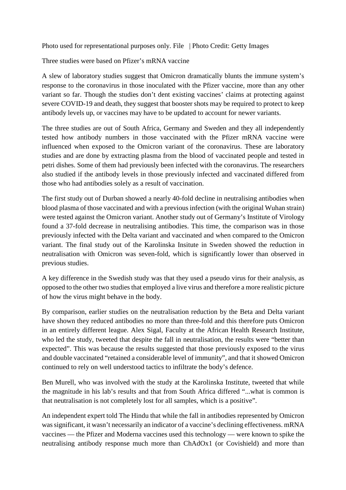Photo used for representational purposes only. File | Photo Credit: Getty Images

Three studies were based on Pfizer's mRNA vaccine

A slew of laboratory studies suggest that Omicron dramatically blunts the immune system's response to the coronavirus in those inoculated with the Pfizer vaccine, more than any other variant so far. Though the studies don't dent existing vaccines' claims at protecting against severe COVID-19 and death, they suggest that booster shots may be required to protect to keep antibody levels up, or vaccines may have to be updated to account for newer variants.

The three studies are out of South Africa, Germany and Sweden and they all independently tested how antibody numbers in those vaccinated with the Pfizer mRNA vaccine were influenced when exposed to the Omicron variant of the coronavirus. These are laboratory studies and are done by extracting plasma from the blood of vaccinated people and tested in petri dishes. Some of them had previously been infected with the coronavirus. The researchers also studied if the antibody levels in those previously infected and vaccinated differed from those who had antibodies solely as a result of vaccination.

The first study out of Durban showed a nearly 40-fold decline in neutralising antibodies when blood plasma of those vaccinated and with a previous infection (with the original Wuhan strain) were tested against the Omicron variant. Another study out of Germany's Institute of Virology found a 37-fold decrease in neutralising antibodies. This time, the comparison was in those previously infected with the Delta variant and vaccinated and when compared to the Omicron variant. The final study out of the Karolinska Insitute in Sweden showed the reduction in neutralisation with Omicron was seven-fold, which is significantly lower than observed in previous studies.

A key difference in the Swedish study was that they used a pseudo virus for their analysis, as opposed to the other two studies that employed a live virus and therefore a more realistic picture of how the virus might behave in the body.

By comparison, earlier studies on the neutralisation reduction by the Beta and Delta variant have shown they reduced antibodies no more than three-fold and this therefore puts Omicron in an entirely different league. Alex Sigal, Faculty at the African Health Research Institute, who led the study, tweeted that despite the fall in neutralisation, the results were "better than expected". This was because the results suggested that those previously exposed to the virus and double vaccinated "retained a considerable level of immunity", and that it showed Omicron continued to rely on well understood tactics to infiltrate the body's defence.

Ben Murell, who was involved with the study at the Karolinska Institute, tweeted that while the magnitude in his lab's results and that from South Africa differed "...what is common is that neutralisation is not completely lost for all samples, which is a positive".

An independent expert told The Hindu that while the fall in antibodies represented by Omicron was significant, it wasn't necessarily an indicator of a vaccine's declining effectiveness. mRNA vaccines — the Pfizer and Moderna vaccines used this technology — were known to spike the neutralising antibody response much more than ChAdOx1 (or Covishield) and more than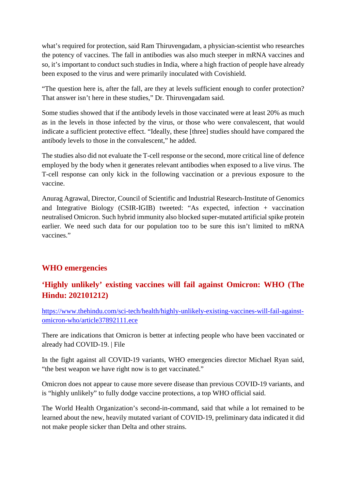what's required for protection, said Ram Thiruvengadam, a physician-scientist who researches the potency of vaccines. The fall in antibodies was also much steeper in mRNA vaccines and so, it's important to conduct such studies in India, where a high fraction of people have already been exposed to the virus and were primarily inoculated with Covishield.

"The question here is, after the fall, are they at levels sufficient enough to confer protection? That answer isn't here in these studies," Dr. Thiruvengadam said.

Some studies showed that if the antibody levels in those vaccinated were at least 20% as much as in the levels in those infected by the virus, or those who were convalescent, that would indicate a sufficient protective effect. "Ideally, these [three] studies should have compared the antibody levels to those in the convalescent," he added.

The studies also did not evaluate the T-cell response or the second, more critical line of defence employed by the body when it generates relevant antibodies when exposed to a live virus. The T-cell response can only kick in the following vaccination or a previous exposure to the vaccine.

Anurag Agrawal, Director, Council of Scientific and Industrial Research-Institute of Genomics and Integrative Biology (CSIR-IGIB) tweeted: "As expected, infection + vaccination neutralised Omicron. Such hybrid immunity also blocked super-mutated artificial spike protein earlier. We need such data for our population too to be sure this isn't limited to mRNA vaccines."

# **WHO emergencies**

# **'Highly unlikely' existing vaccines will fail against Omicron: WHO (The Hindu: 202101212)**

https://www.thehindu.com/sci-tech/health/highly-unlikely-existing-vaccines-will-fail-againstomicron-who/article37892111.ece

There are indications that Omicron is better at infecting people who have been vaccinated or already had COVID-19. | File

In the fight against all COVID-19 variants, WHO emergencies director Michael Ryan said, "the best weapon we have right now is to get vaccinated."

Omicron does not appear to cause more severe disease than previous COVID-19 variants, and is "highly unlikely" to fully dodge vaccine protections, a top WHO official said.

The World Health Organization's second-in-command, said that while a lot remained to be learned about the new, heavily mutated variant of COVID-19, preliminary data indicated it did not make people sicker than Delta and other strains.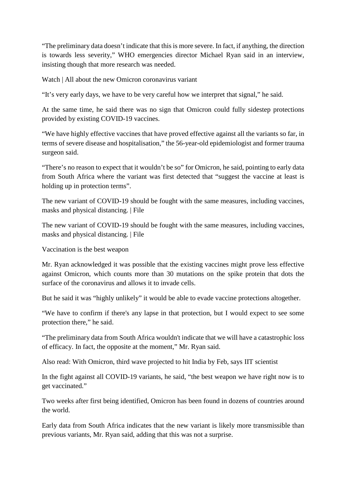"The preliminary data doesn't indicate that this is more severe. In fact, if anything, the direction is towards less severity," WHO emergencies director Michael Ryan said in an interview, insisting though that more research was needed.

Watch | All about the new Omicron coronavirus variant

"It's very early days, we have to be very careful how we interpret that signal," he said.

At the same time, he said there was no sign that Omicron could fully sidestep protections provided by existing COVID-19 vaccines.

"We have highly effective vaccines that have proved effective against all the variants so far, in terms of severe disease and hospitalisation," the 56-year-old epidemiologist and former trauma surgeon said.

"There's no reason to expect that it wouldn't be so" for Omicron, he said, pointing to early data from South Africa where the variant was first detected that "suggest the vaccine at least is holding up in protection terms".

The new variant of COVID-19 should be fought with the same measures, including vaccines, masks and physical distancing. | File

The new variant of COVID-19 should be fought with the same measures, including vaccines, masks and physical distancing. | File

Vaccination is the best weapon

Mr. Ryan acknowledged it was possible that the existing vaccines might prove less effective against Omicron, which counts more than 30 mutations on the spike protein that dots the surface of the coronavirus and allows it to invade cells.

But he said it was "highly unlikely" it would be able to evade vaccine protections altogether.

"We have to confirm if there's any lapse in that protection, but I would expect to see some protection there," he said.

"The preliminary data from South Africa wouldn't indicate that we will have a catastrophic loss of efficacy. In fact, the opposite at the moment," Mr. Ryan said.

Also read: With Omicron, third wave projected to hit India by Feb, says IIT scientist

In the fight against all COVID-19 variants, he said, "the best weapon we have right now is to get vaccinated."

Two weeks after first being identified, Omicron has been found in dozens of countries around the world.

Early data from South Africa indicates that the new variant is likely more transmissible than previous variants, Mr. Ryan said, adding that this was not a surprise.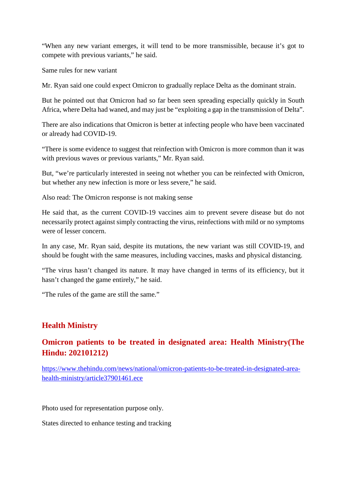"When any new variant emerges, it will tend to be more transmissible, because it's got to compete with previous variants," he said.

Same rules for new variant

Mr. Ryan said one could expect Omicron to gradually replace Delta as the dominant strain.

But he pointed out that Omicron had so far been seen spreading especially quickly in South Africa, where Delta had waned, and may just be "exploiting a gap in the transmission of Delta".

There are also indications that Omicron is better at infecting people who have been vaccinated or already had COVID-19.

"There is some evidence to suggest that reinfection with Omicron is more common than it was with previous waves or previous variants," Mr. Ryan said.

But, "we're particularly interested in seeing not whether you can be reinfected with Omicron, but whether any new infection is more or less severe," he said.

Also read: The Omicron response is not making sense

He said that, as the current COVID-19 vaccines aim to prevent severe disease but do not necessarily protect against simply contracting the virus, reinfections with mild or no symptoms were of lesser concern.

In any case, Mr. Ryan said, despite its mutations, the new variant was still COVID-19, and should be fought with the same measures, including vaccines, masks and physical distancing.

"The virus hasn't changed its nature. It may have changed in terms of its efficiency, but it hasn't changed the game entirely," he said.

"The rules of the game are still the same."

# **Health Ministry**

# **Omicron patients to be treated in designated area: Health Ministry(The Hindu: 202101212)**

https://www.thehindu.com/news/national/omicron-patients-to-be-treated-in-designated-areahealth-ministry/article37901461.ece

Photo used for representation purpose only.

States directed to enhance testing and tracking